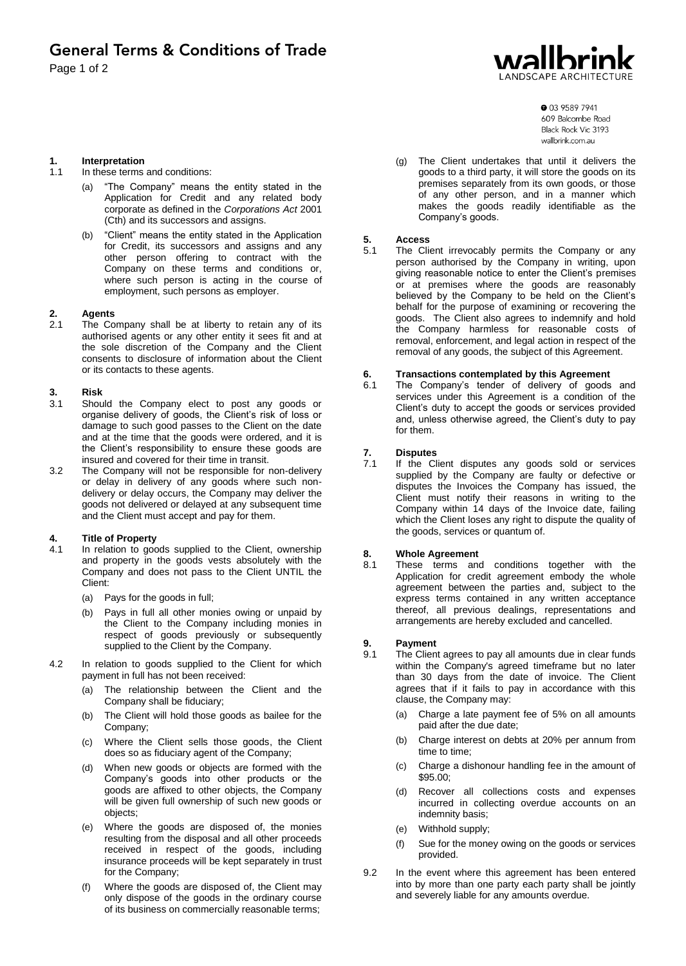# LANDSCAPE ARCHITEC

**1. Interpretation**

- In these terms and conditions:
	- (a) "The Company" means the entity stated in the Application for Credit and any related body corporate as defined in the *Corporations Act* 2001 (Cth) and its successors and assigns.
	- (b) "Client" means the entity stated in the Application for Credit, its successors and assigns and any other person offering to contract with the Company on these terms and conditions or, where such person is acting in the course of employment, such persons as employer.

### **2. Agents**

The Company shall be at liberty to retain any of its authorised agents or any other entity it sees fit and at the sole discretion of the Company and the Client consents to disclosure of information about the Client or its contacts to these agents.

### **3. Risk**

- Should the Company elect to post any goods or organise delivery of goods, the Client's risk of loss or damage to such good passes to the Client on the date and at the time that the goods were ordered, and it is the Client's responsibility to ensure these goods are insured and covered for their time in transit.
- 3.2 The Company will not be responsible for non-delivery or delay in delivery of any goods where such nondelivery or delay occurs, the Company may deliver the goods not delivered or delayed at any subsequent time and the Client must accept and pay for them.

### **4. Title of Property**

- In relation to goods supplied to the Client, ownership and property in the goods vests absolutely with the Company and does not pass to the Client UNTIL the Client:
	- (a) Pays for the goods in full;
	- (b) Pays in full all other monies owing or unpaid by the Client to the Company including monies in respect of goods previously or subsequently supplied to the Client by the Company.
- 4.2 In relation to goods supplied to the Client for which payment in full has not been received:
	- (a) The relationship between the Client and the Company shall be fiduciary;
	- (b) The Client will hold those goods as bailee for the Company;
	- (c) Where the Client sells those goods, the Client does so as fiduciary agent of the Company;
	- (d) When new goods or objects are formed with the Company's goods into other products or the goods are affixed to other objects, the Company will be given full ownership of such new goods or objects;
	- (e) Where the goods are disposed of, the monies resulting from the disposal and all other proceeds received in respect of the goods, including insurance proceeds will be kept separately in trust for the Company;
	- (f) Where the goods are disposed of, the Client may only dispose of the goods in the ordinary course of its business on commercially reasonable terms;

**0** 03 9589 7941 609 Balcombe Road Black Rock Vic 3193 wallbrink com au

(g) The Client undertakes that until it delivers the goods to a third party, it will store the goods on its premises separately from its own goods, or those of any other person, and in a manner which makes the goods readily identifiable as the Company's goods.

#### **5. Access**

5.1 The Client irrevocably permits the Company or any person authorised by the Company in writing, upon giving reasonable notice to enter the Client's premises or at premises where the goods are reasonably believed by the Company to be held on the Client's behalf for the purpose of examining or recovering the goods. The Client also agrees to indemnify and hold the Company harmless for reasonable costs of removal, enforcement, and legal action in respect of the removal of any goods, the subject of this Agreement.

#### **6. Transactions contemplated by this Agreement**

The Company's tender of delivery of goods and services under this Agreement is a condition of the Client's duty to accept the goods or services provided and, unless otherwise agreed, the Client's duty to pay for them.

### **7. Disputes**

If the Client disputes any goods sold or services supplied by the Company are faulty or defective or disputes the Invoices the Company has issued, the Client must notify their reasons in writing to the Company within 14 days of the Invoice date, failing which the Client loses any right to dispute the quality of the goods, services or quantum of.

#### **8. Whole Agreement**

8.1 These terms and conditions together with the Application for credit agreement embody the whole agreement between the parties and, subject to the express terms contained in any written acceptance thereof, all previous dealings, representations and arrangements are hereby excluded and cancelled.

### **9. Payment**

- The Client agrees to pay all amounts due in clear funds within the Company's agreed timeframe but no later than 30 days from the date of invoice. The Client agrees that if it fails to pay in accordance with this clause, the Company may:
	- (a) Charge a late payment fee of 5% on all amounts paid after the due date;
	- (b) Charge interest on debts at 20% per annum from time to time;
	- (c) Charge a dishonour handling fee in the amount of \$95.00;
	- (d) Recover all collections costs and expenses incurred in collecting overdue accounts on an indemnity basis;
	- (e) Withhold supply;
	- (f) Sue for the money owing on the goods or services provided.
- 9.2 In the event where this agreement has been entered into by more than one party each party shall be jointly and severely liable for any amounts overdue.